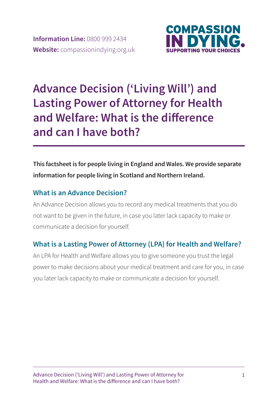

# **Advance Decision ('Living Will') and Lasting Power of Attorney for Health and Welfare: What is the difference and can I have both?**

### **This factsheet is for people living in England and Wales. We provide separate information for people living in Scotland and Northern Ireland.**

### **What is an Advance Decision?**

An Advance Decision allows you to record any medical treatments that you do not want to be given in the future, in case you later lack capacity to make or communicate a decision for yourself.

### **What is a Lasting Power of Attorney (LPA) for Health and Welfare?**

An LPA for Health and Welfare allows you to give someone you trust the legal power to make decisions about your medical treatment and care for you, in case you later lack capacity to make or communicate a decision for yourself.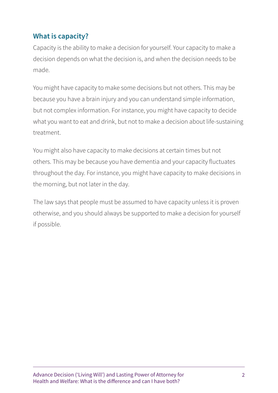### **What is capacity?**

Capacity is the ability to make a decision for yourself. Your capacity to make a decision depends on what the decision is, and when the decision needs to be made.

You might have capacity to make some decisions but not others. This may be because you have a brain injury and you can understand simple information, but not complex information. For instance, you might have capacity to decide what you want to eat and drink, but not to make a decision about life-sustaining treatment.

You might also have capacity to make decisions at certain times but not others. This may be because you have dementia and your capacity fluctuates throughout the day. For instance, you might have capacity to make decisions in the morning, but not later in the day.

The law says that people must be assumed to have capacity unless it is proven otherwise, and you should always be supported to make a decision for yourself if possible.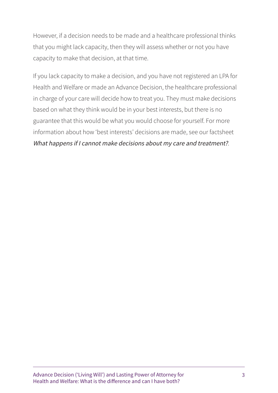However, if a decision needs to be made and a healthcare professional thinks that you might lack capacity, then they will assess whether or not you have capacity to make that decision, at that time.

If you lack capacity to make a decision, and you have not registered an LPA for Health and Welfare or made an Advance Decision, the healthcare professional in charge of your care will decide how to treat you. They must make decisions based on what they think would be in your best interests, but there is no guarantee that this would be what you would choose for yourself. For more information about how 'best interests' decisions are made, see our factsheet What happens if I cannot make decisions about my care and treatment?.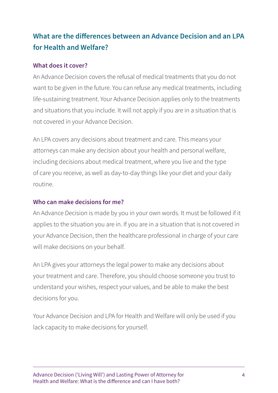# **What are the differences between an Advance Decision and an LPA for Health and Welfare?**

#### **What does it cover?**

An Advance Decision covers the refusal of medical treatments that you do not want to be given in the future. You can refuse any medical treatments, including life-sustaining treatment. Your Advance Decision applies only to the treatments and situations that you include. It will not apply if you are in a situation that is not covered in your Advance Decision.

An LPA covers any decisions about treatment and care. This means your attorneys can make any decision about your health and personal welfare, including decisions about medical treatment, where you live and the type of care you receive, as well as day-to-day things like your diet and your daily routine.

#### **Who can make decisions for me?**

An Advance Decision is made by you in your own words. It must be followed if it applies to the situation you are in. If you are in a situation that is not covered in your Advance Decision, then the healthcare professional in charge of your care will make decisions on your behalf.

An LPA gives your attorneys the legal power to make any decisions about your treatment and care. Therefore, you should choose someone you trust to understand your wishes, respect your values, and be able to make the best decisions for you.

Your Advance Decision and LPA for Health and Welfare will only be used if you lack capacity to make decisions for yourself.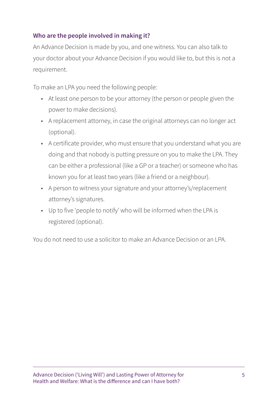#### **Who are the people involved in making it?**

An Advance Decision is made by you, and one witness. You can also talk to your doctor about your Advance Decision if you would like to, but this is not a requirement.

To make an LPA you need the following people:

- At least one person to be your attorney (the person or people given the power to make decisions).
- A replacement attorney, in case the original attorneys can no longer act (optional).
- A certificate provider, who must ensure that you understand what you are doing and that nobody is putting pressure on you to make the LPA. They can be either a professional (like a GP or a teacher) or someone who has known you for at least two years (like a friend or a neighbour).
- A person to witness your signature and your attorney's/replacement attorney's signatures.
- Up to five 'people to notify' who will be informed when the LPA is registered (optional).

You do not need to use a solicitor to make an Advance Decision or an LPA.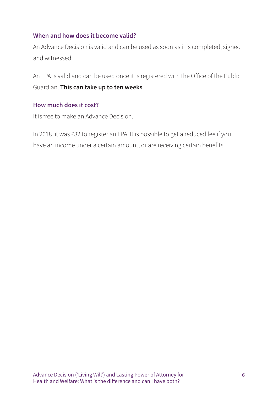#### **When and how does it become valid?**

An Advance Decision is valid and can be used as soon as it is completed, signed and witnessed.

An LPA is valid and can be used once it is registered with the Office of the Public Guardian. **This can take up to ten weeks**.

#### **How much does it cost?**

It is free to make an Advance Decision.

In 2018, it was £82 to register an LPA. It is possible to get a reduced fee if you have an income under a certain amount, or are receiving certain benefits.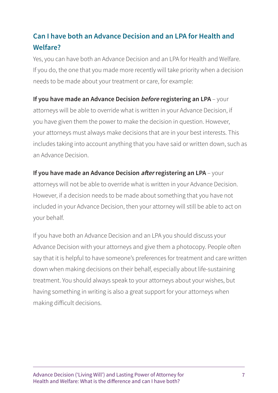# **Can I have both an Advance Decision and an LPA for Health and Welfare?**

Yes, you can have both an Advance Decision and an LPA for Health and Welfare. If you do, the one that you made more recently will take priority when a decision needs to be made about your treatment or care, for example:

#### **If you have made an Advance Decision** *before* **registering an LPA** – your

attorneys will be able to override what is written in your Advance Decision, if you have given them the power to make the decision in question. However, your attorneys must always make decisions that are in your best interests. This includes taking into account anything that you have said or written down, such as an Advance Decision.

#### **If you have made an Advance Decision** *after* **registering an LPA** – your

attorneys will not be able to override what is written in your Advance Decision. However, if a decision needs to be made about something that you have not included in your Advance Decision, then your attorney will still be able to act on your behalf.

If you have both an Advance Decision and an LPA you should discuss your Advance Decision with your attorneys and give them a photocopy. People often say that it is helpful to have someone's preferences for treatment and care written down when making decisions on their behalf, especially about life-sustaining treatment. You should always speak to your attorneys about your wishes, but having something in writing is also a great support for your attorneys when making difficult decisions.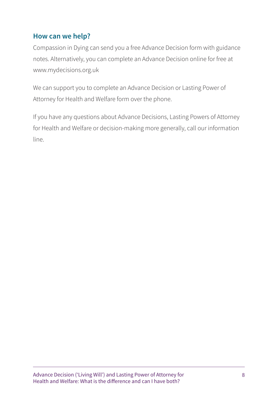### **How can we help?**

Compassion in Dying can send you a free Advance Decision form with guidance notes. Alternatively, you can complete an Advance Decision online for free at www.mydecisions.org.uk

We can support you to complete an Advance Decision or Lasting Power of Attorney for Health and Welfare form over the phone.

If you have any questions about Advance Decisions, Lasting Powers of Attorney for Health and Welfare or decision-making more generally, call our information line.